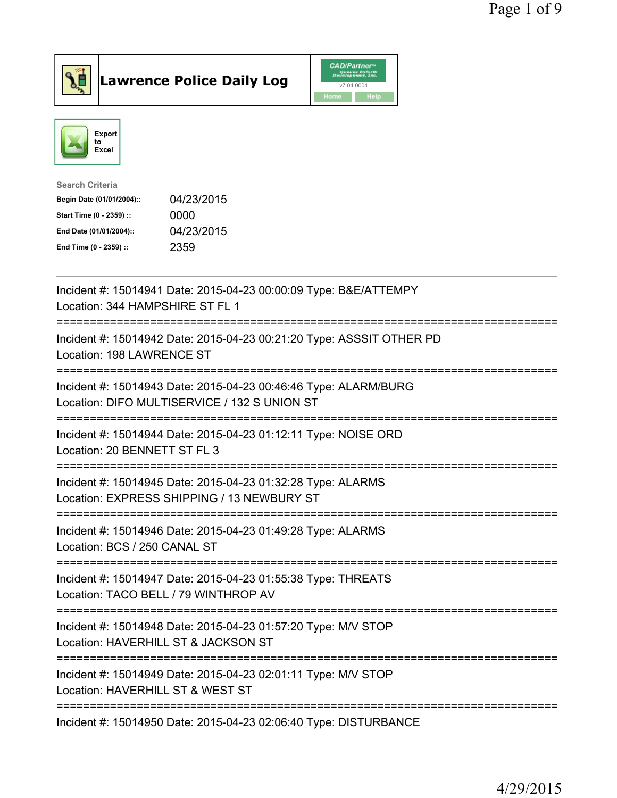



| <b>Search Criteria</b>    |            |
|---------------------------|------------|
| Begin Date (01/01/2004):: | 04/23/2015 |
| Start Time (0 - 2359) ::  | 0000       |
| End Date (01/01/2004)::   | 04/23/2015 |
| End Time (0 - 2359) ::    | 2359       |
|                           |            |

| Incident #: 15014941 Date: 2015-04-23 00:00:09 Type: B&E/ATTEMPY<br>Location: 344 HAMPSHIRE ST FL 1                                      |
|------------------------------------------------------------------------------------------------------------------------------------------|
| Incident #: 15014942 Date: 2015-04-23 00:21:20 Type: ASSSIT OTHER PD<br>Location: 198 LAWRENCE ST                                        |
| Incident #: 15014943 Date: 2015-04-23 00:46:46 Type: ALARM/BURG<br>Location: DIFO MULTISERVICE / 132 S UNION ST<br>--------------------- |
| Incident #: 15014944 Date: 2015-04-23 01:12:11 Type: NOISE ORD<br>Location: 20 BENNETT ST FL 3<br>-------------------                    |
| Incident #: 15014945 Date: 2015-04-23 01:32:28 Type: ALARMS<br>Location: EXPRESS SHIPPING / 13 NEWBURY ST<br>==========================  |
| Incident #: 15014946 Date: 2015-04-23 01:49:28 Type: ALARMS<br>Location: BCS / 250 CANAL ST<br>----------------------                    |
| Incident #: 15014947 Date: 2015-04-23 01:55:38 Type: THREATS<br>Location: TACO BELL / 79 WINTHROP AV                                     |
| -----------------------------<br>Incident #: 15014948 Date: 2015-04-23 01:57:20 Type: M/V STOP<br>Location: HAVERHILL ST & JACKSON ST    |
| ===============================<br>Incident #: 15014949 Date: 2015-04-23 02:01:11 Type: M/V STOP<br>Location: HAVERHILL ST & WEST ST     |
| Incident #: 15014950 Date: 2015-04-23 02:06:40 Type: DISTURBANCE                                                                         |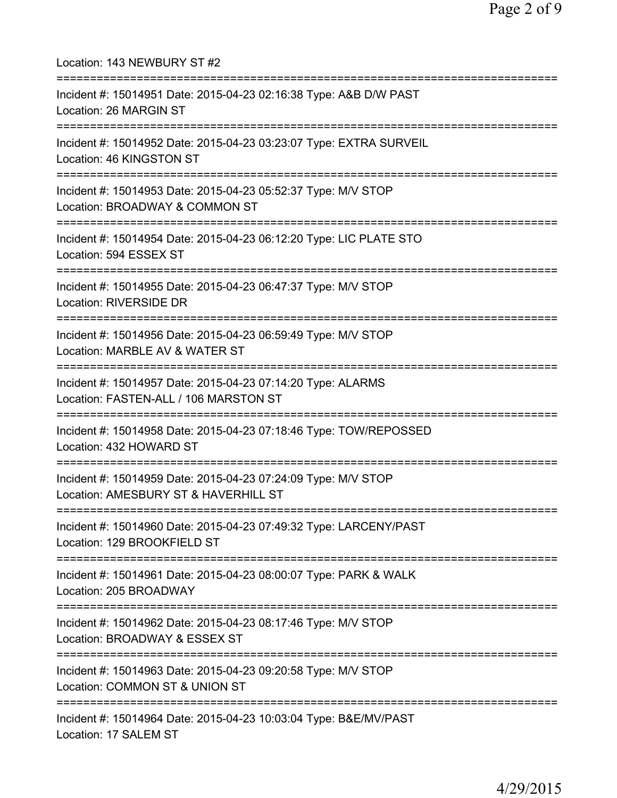| Location: 143 NEWBURY ST #2<br>============================                                                                                |
|--------------------------------------------------------------------------------------------------------------------------------------------|
| Incident #: 15014951 Date: 2015-04-23 02:16:38 Type: A&B D/W PAST<br>Location: 26 MARGIN ST<br>================================            |
| Incident #: 15014952 Date: 2015-04-23 03:23:07 Type: EXTRA SURVEIL<br>Location: 46 KINGSTON ST                                             |
| Incident #: 15014953 Date: 2015-04-23 05:52:37 Type: M/V STOP<br>Location: BROADWAY & COMMON ST                                            |
| :===================<br>Incident #: 15014954 Date: 2015-04-23 06:12:20 Type: LIC PLATE STO<br>Location: 594 ESSEX ST                       |
| ========================<br>Incident #: 15014955 Date: 2015-04-23 06:47:37 Type: M/V STOP<br><b>Location: RIVERSIDE DR</b>                 |
| Incident #: 15014956 Date: 2015-04-23 06:59:49 Type: M/V STOP<br>Location: MARBLE AV & WATER ST<br>==========================              |
| Incident #: 15014957 Date: 2015-04-23 07:14:20 Type: ALARMS<br>Location: FASTEN-ALL / 106 MARSTON ST                                       |
| Incident #: 15014958 Date: 2015-04-23 07:18:46 Type: TOW/REPOSSED<br>Location: 432 HOWARD ST                                               |
| Incident #: 15014959 Date: 2015-04-23 07:24:09 Type: M/V STOP<br>Location: AMESBURY ST & HAVERHILL ST                                      |
| ======================================<br>Incident #: 15014960 Date: 2015-04-23 07:49:32 Type: LARCENY/PAST<br>Location: 129 BROOKFIELD ST |
| Incident #: 15014961 Date: 2015-04-23 08:00:07 Type: PARK & WALK<br>Location: 205 BROADWAY                                                 |
| Incident #: 15014962 Date: 2015-04-23 08:17:46 Type: M/V STOP<br>Location: BROADWAY & ESSEX ST                                             |
| Incident #: 15014963 Date: 2015-04-23 09:20:58 Type: M/V STOP<br>Location: COMMON ST & UNION ST                                            |
| Incident #: 15014964 Date: 2015-04-23 10:03:04 Type: B&E/MV/PAST<br>Location: 17 SALEM ST                                                  |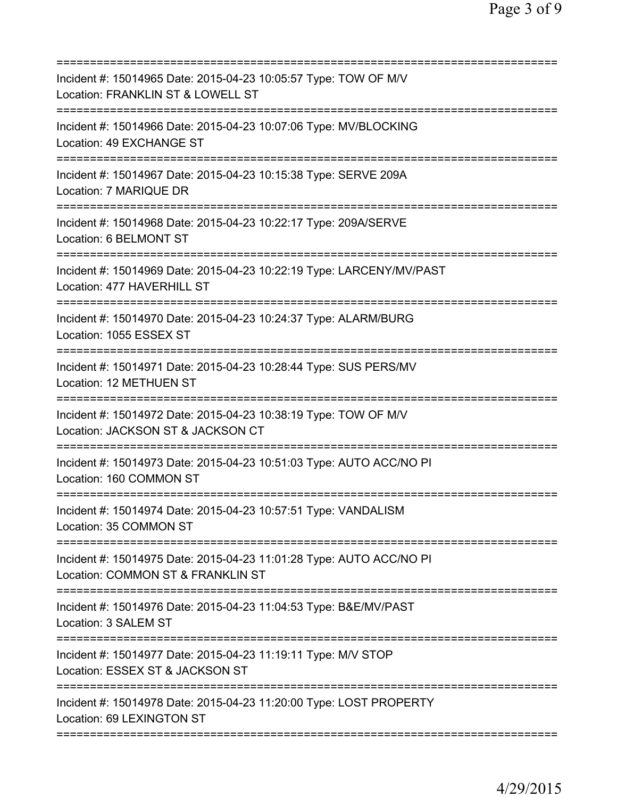| Incident #: 15014965 Date: 2015-04-23 10:05:57 Type: TOW OF M/V<br>Location: FRANKLIN ST & LOWELL ST<br>=======================                       |
|-------------------------------------------------------------------------------------------------------------------------------------------------------|
| Incident #: 15014966 Date: 2015-04-23 10:07:06 Type: MV/BLOCKING<br>Location: 49 EXCHANGE ST                                                          |
| Incident #: 15014967 Date: 2015-04-23 10:15:38 Type: SERVE 209A<br>Location: 7 MARIQUE DR                                                             |
| Incident #: 15014968 Date: 2015-04-23 10:22:17 Type: 209A/SERVE<br>Location: 6 BELMONT ST                                                             |
| Incident #: 15014969 Date: 2015-04-23 10:22:19 Type: LARCENY/MV/PAST<br>Location: 477 HAVERHILL ST                                                    |
| Incident #: 15014970 Date: 2015-04-23 10:24:37 Type: ALARM/BURG<br>Location: 1055 ESSEX ST                                                            |
| Incident #: 15014971 Date: 2015-04-23 10:28:44 Type: SUS PERS/MV<br>Location: 12 METHUEN ST<br>---------------                                        |
| Incident #: 15014972 Date: 2015-04-23 10:38:19 Type: TOW OF M/V<br>Location: JACKSON ST & JACKSON CT<br>=============================<br>============ |
| Incident #: 15014973 Date: 2015-04-23 10:51:03 Type: AUTO ACC/NO PI<br>Location: 160 COMMON ST                                                        |
| Incident #: 15014974 Date: 2015-04-23 10:57:51 Type: VANDALISM<br>Location: 35 COMMON ST                                                              |
| ===================================<br>Incident #: 15014975 Date: 2015-04-23 11:01:28 Type: AUTO ACC/NO PI<br>Location: COMMON ST & FRANKLIN ST       |
| Incident #: 15014976 Date: 2015-04-23 11:04:53 Type: B&E/MV/PAST<br>Location: 3 SALEM ST                                                              |
| Incident #: 15014977 Date: 2015-04-23 11:19:11 Type: M/V STOP<br>Location: ESSEX ST & JACKSON ST                                                      |
| Incident #: 15014978 Date: 2015-04-23 11:20:00 Type: LOST PROPERTY<br>Location: 69 LEXINGTON ST                                                       |
|                                                                                                                                                       |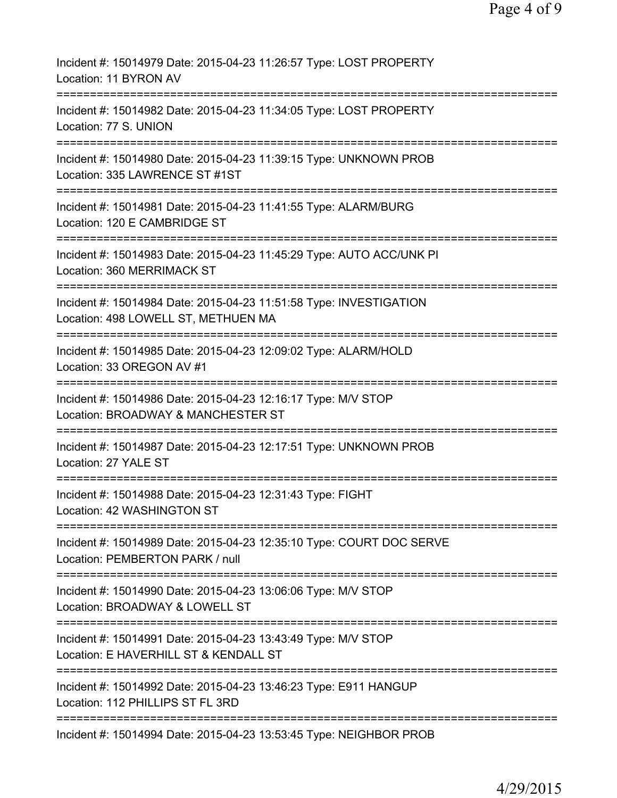| Incident #: 15014979 Date: 2015-04-23 11:26:57 Type: LOST PROPERTY<br>Location: 11 BYRON AV                                  |
|------------------------------------------------------------------------------------------------------------------------------|
| Incident #: 15014982 Date: 2015-04-23 11:34:05 Type: LOST PROPERTY<br>Location: 77 S. UNION                                  |
| Incident #: 15014980 Date: 2015-04-23 11:39:15 Type: UNKNOWN PROB<br>Location: 335 LAWRENCE ST #1ST                          |
| Incident #: 15014981 Date: 2015-04-23 11:41:55 Type: ALARM/BURG<br>Location: 120 E CAMBRIDGE ST                              |
| Incident #: 15014983 Date: 2015-04-23 11:45:29 Type: AUTO ACC/UNK PI<br>Location: 360 MERRIMACK ST                           |
| Incident #: 15014984 Date: 2015-04-23 11:51:58 Type: INVESTIGATION<br>Location: 498 LOWELL ST, METHUEN MA                    |
| Incident #: 15014985 Date: 2015-04-23 12:09:02 Type: ALARM/HOLD<br>Location: 33 OREGON AV #1                                 |
| Incident #: 15014986 Date: 2015-04-23 12:16:17 Type: M/V STOP<br>Location: BROADWAY & MANCHESTER ST                          |
| Incident #: 15014987 Date: 2015-04-23 12:17:51 Type: UNKNOWN PROB<br>Location: 27 YALE ST                                    |
| Incident #: 15014988 Date: 2015-04-23 12:31:43 Type: FIGHT<br>Location: 42 WASHINGTON ST                                     |
| Incident #: 15014989 Date: 2015-04-23 12:35:10 Type: COURT DOC SERVE<br>Location: PEMBERTON PARK / null                      |
| =========================<br>Incident #: 15014990 Date: 2015-04-23 13:06:06 Type: M/V STOP<br>Location: BROADWAY & LOWELL ST |
| Incident #: 15014991 Date: 2015-04-23 13:43:49 Type: M/V STOP<br>Location: E HAVERHILL ST & KENDALL ST                       |
| Incident #: 15014992 Date: 2015-04-23 13:46:23 Type: E911 HANGUP<br>Location: 112 PHILLIPS ST FL 3RD                         |
| Incident #: 15014994 Date: 2015-04-23 13:53:45 Type: NEIGHBOR PROB                                                           |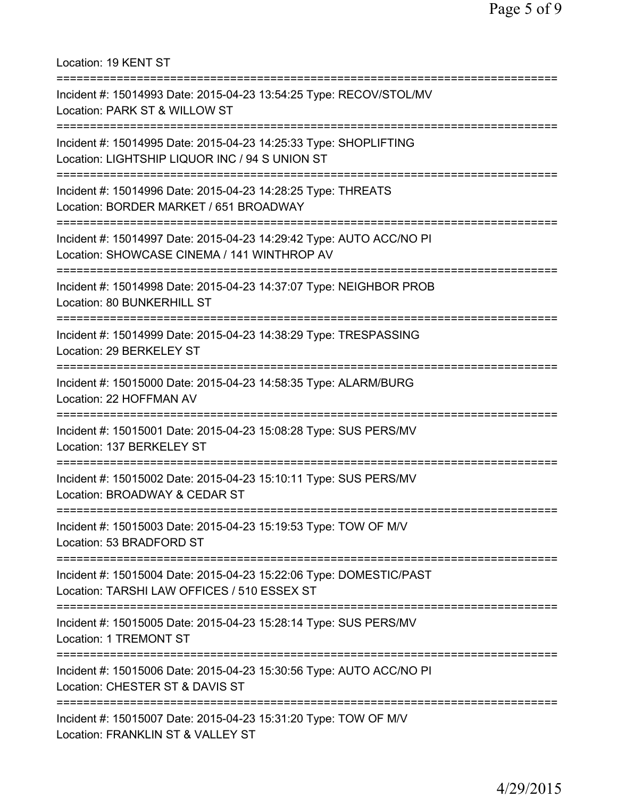Location: 19 KENT ST =========================================================================== Incident #: 15014993 Date: 2015-04-23 13:54:25 Type: RECOV/STOL/MV Location: PARK ST & WILLOW ST =========================================================================== Incident #: 15014995 Date: 2015-04-23 14:25:33 Type: SHOPLIFTING Location: LIGHTSHIP LIQUOR INC / 94 S UNION ST =========================================================================== Incident #: 15014996 Date: 2015-04-23 14:28:25 Type: THREATS Location: BORDER MARKET / 651 BROADWAY =========================================================================== Incident #: 15014997 Date: 2015-04-23 14:29:42 Type: AUTO ACC/NO PI Location: SHOWCASE CINEMA / 141 WINTHROP AV =========================================================================== Incident #: 15014998 Date: 2015-04-23 14:37:07 Type: NEIGHBOR PROB Location: 80 BUNKERHILL ST =========================================================================== Incident #: 15014999 Date: 2015-04-23 14:38:29 Type: TRESPASSING Location: 29 BERKELEY ST =========================================================================== Incident #: 15015000 Date: 2015-04-23 14:58:35 Type: ALARM/BURG Location: 22 HOFFMAN AV =========================================================================== Incident #: 15015001 Date: 2015-04-23 15:08:28 Type: SUS PERS/MV Location: 137 BERKELEY ST =========================================================================== Incident #: 15015002 Date: 2015-04-23 15:10:11 Type: SUS PERS/MV Location: BROADWAY & CEDAR ST =========================================================================== Incident #: 15015003 Date: 2015-04-23 15:19:53 Type: TOW OF M/V Location: 53 BRADFORD ST =========================================================================== Incident #: 15015004 Date: 2015-04-23 15:22:06 Type: DOMESTIC/PAST Location: TARSHI LAW OFFICES / 510 ESSEX ST =========================================================================== Incident #: 15015005 Date: 2015-04-23 15:28:14 Type: SUS PERS/MV Location: 1 TREMONT ST =========================================================================== Incident #: 15015006 Date: 2015-04-23 15:30:56 Type: AUTO ACC/NO PI Location: CHESTER ST & DAVIS ST =========================================================================== Incident #: 15015007 Date: 2015-04-23 15:31:20 Type: TOW OF M/V Location: FRANKLIN ST & VALLEY ST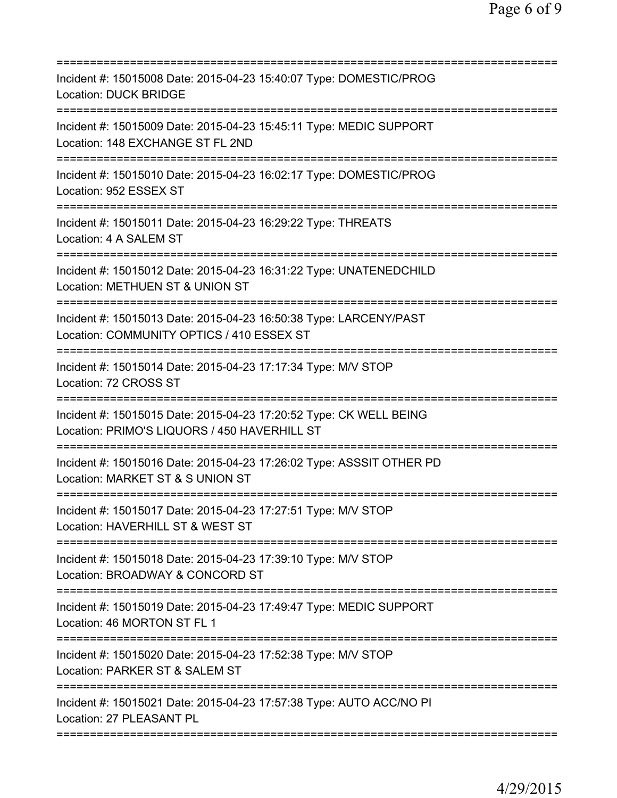| Incident #: 15015008 Date: 2015-04-23 15:40:07 Type: DOMESTIC/PROG<br><b>Location: DUCK BRIDGE</b>                                              |
|-------------------------------------------------------------------------------------------------------------------------------------------------|
| Incident #: 15015009 Date: 2015-04-23 15:45:11 Type: MEDIC SUPPORT<br>Location: 148 EXCHANGE ST FL 2ND                                          |
| Incident #: 15015010 Date: 2015-04-23 16:02:17 Type: DOMESTIC/PROG<br>Location: 952 ESSEX ST                                                    |
| Incident #: 15015011 Date: 2015-04-23 16:29:22 Type: THREATS<br>Location: 4 A SALEM ST                                                          |
| Incident #: 15015012 Date: 2015-04-23 16:31:22 Type: UNATENEDCHILD<br>Location: METHUEN ST & UNION ST                                           |
| ===========================<br>Incident #: 15015013 Date: 2015-04-23 16:50:38 Type: LARCENY/PAST<br>Location: COMMUNITY OPTICS / 410 ESSEX ST   |
| Incident #: 15015014 Date: 2015-04-23 17:17:34 Type: M/V STOP<br>Location: 72 CROSS ST                                                          |
| Incident #: 15015015 Date: 2015-04-23 17:20:52 Type: CK WELL BEING<br>Location: PRIMO'S LIQUORS / 450 HAVERHILL ST<br>========================= |
| Incident #: 15015016 Date: 2015-04-23 17:26:02 Type: ASSSIT OTHER PD<br>Location: MARKET ST & S UNION ST                                        |
| Incident #: 15015017 Date: 2015-04-23 17:27:51 Type: M/V STOP<br>Location: HAVERHILL ST & WEST ST                                               |
| Incident #: 15015018 Date: 2015-04-23 17:39:10 Type: M/V STOP<br>Location: BROADWAY & CONCORD ST                                                |
| Incident #: 15015019 Date: 2015-04-23 17:49:47 Type: MEDIC SUPPORT<br>Location: 46 MORTON ST FL 1                                               |
| Incident #: 15015020 Date: 2015-04-23 17:52:38 Type: M/V STOP<br>Location: PARKER ST & SALEM ST                                                 |
| ============================<br>Incident #: 15015021 Date: 2015-04-23 17:57:38 Type: AUTO ACC/NO PI<br>Location: 27 PLEASANT PL                 |
|                                                                                                                                                 |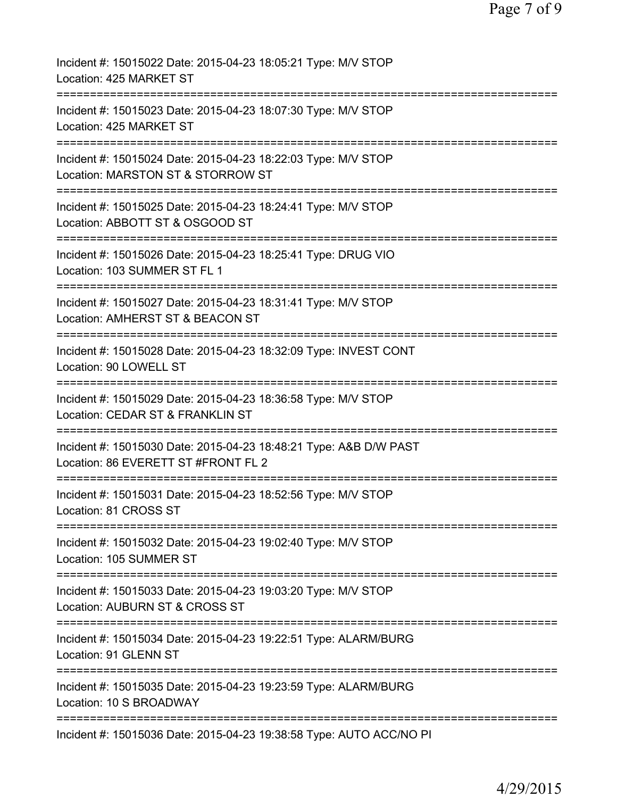| Incident #: 15015022 Date: 2015-04-23 18:05:21 Type: M/V STOP<br>Location: 425 MARKET ST                                |
|-------------------------------------------------------------------------------------------------------------------------|
| Incident #: 15015023 Date: 2015-04-23 18:07:30 Type: M/V STOP<br>Location: 425 MARKET ST                                |
| Incident #: 15015024 Date: 2015-04-23 18:22:03 Type: M/V STOP<br>Location: MARSTON ST & STORROW ST                      |
| Incident #: 15015025 Date: 2015-04-23 18:24:41 Type: M/V STOP<br>Location: ABBOTT ST & OSGOOD ST                        |
| Incident #: 15015026 Date: 2015-04-23 18:25:41 Type: DRUG VIO<br>Location: 103 SUMMER ST FL 1                           |
| Incident #: 15015027 Date: 2015-04-23 18:31:41 Type: M/V STOP<br>Location: AMHERST ST & BEACON ST                       |
| Incident #: 15015028 Date: 2015-04-23 18:32:09 Type: INVEST CONT<br>Location: 90 LOWELL ST                              |
| Incident #: 15015029 Date: 2015-04-23 18:36:58 Type: M/V STOP<br>Location: CEDAR ST & FRANKLIN ST                       |
| Incident #: 15015030 Date: 2015-04-23 18:48:21 Type: A&B D/W PAST<br>Location: 86 EVERETT ST #FRONT FL 2                |
| Incident #: 15015031 Date: 2015-04-23 18:52:56 Type: M/V STOP<br>Location: 81 CROSS ST                                  |
| Incident #: 15015032 Date: 2015-04-23 19:02:40 Type: M/V STOP<br>Location: 105 SUMMER ST                                |
| Incident #: 15015033 Date: 2015-04-23 19:03:20 Type: M/V STOP<br>Location: AUBURN ST & CROSS ST                         |
| ===========================<br>Incident #: 15015034 Date: 2015-04-23 19:22:51 Type: ALARM/BURG<br>Location: 91 GLENN ST |
| Incident #: 15015035 Date: 2015-04-23 19:23:59 Type: ALARM/BURG<br>Location: 10 S BROADWAY                              |
| Incident #: 15015036 Date: 2015-04-23 19:38:58 Type: AUTO ACC/NO PI                                                     |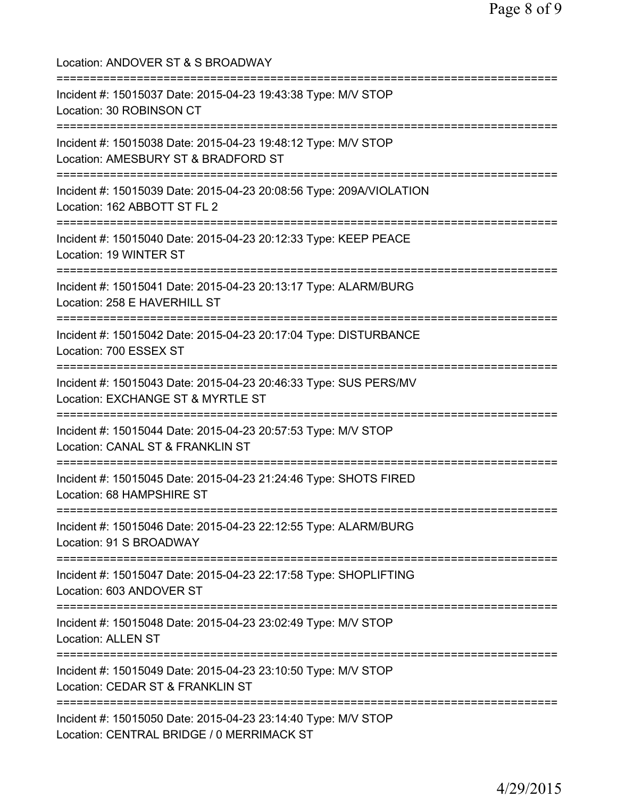| Location: ANDOVER ST & S BROADWAY                                                                                                           |
|---------------------------------------------------------------------------------------------------------------------------------------------|
| Incident #: 15015037 Date: 2015-04-23 19:43:38 Type: M/V STOP<br>Location: 30 ROBINSON CT                                                   |
| Incident #: 15015038 Date: 2015-04-23 19:48:12 Type: M/V STOP<br>Location: AMESBURY ST & BRADFORD ST<br>=================================== |
| Incident #: 15015039 Date: 2015-04-23 20:08:56 Type: 209A/VIOLATION<br>Location: 162 ABBOTT ST FL 2                                         |
| ;================================<br>Incident #: 15015040 Date: 2015-04-23 20:12:33 Type: KEEP PEACE<br>Location: 19 WINTER ST              |
| :=============================<br>Incident #: 15015041 Date: 2015-04-23 20:13:17 Type: ALARM/BURG<br>Location: 258 E HAVERHILL ST           |
| Incident #: 15015042 Date: 2015-04-23 20:17:04 Type: DISTURBANCE<br>Location: 700 ESSEX ST                                                  |
| Incident #: 15015043 Date: 2015-04-23 20:46:33 Type: SUS PERS/MV<br>Location: EXCHANGE ST & MYRTLE ST                                       |
| Incident #: 15015044 Date: 2015-04-23 20:57:53 Type: M/V STOP<br>Location: CANAL ST & FRANKLIN ST                                           |
| Incident #: 15015045 Date: 2015-04-23 21:24:46 Type: SHOTS FIRED<br>Location: 68 HAMPSHIRE ST                                               |
| Incident #: 15015046 Date: 2015-04-23 22:12:55 Type: ALARM/BURG<br>Location: 91 S BROADWAY                                                  |
| Incident #: 15015047 Date: 2015-04-23 22:17:58 Type: SHOPLIFTING<br>Location: 603 ANDOVER ST                                                |
| Incident #: 15015048 Date: 2015-04-23 23:02:49 Type: M/V STOP<br><b>Location: ALLEN ST</b>                                                  |
| ----------------<br>Incident #: 15015049 Date: 2015-04-23 23:10:50 Type: M/V STOP<br>Location: CEDAR ST & FRANKLIN ST                       |
| Incident #: 15015050 Date: 2015-04-23 23:14:40 Type: M/V STOP<br>Location: CENTRAL BRIDGE / 0 MERRIMACK ST                                  |